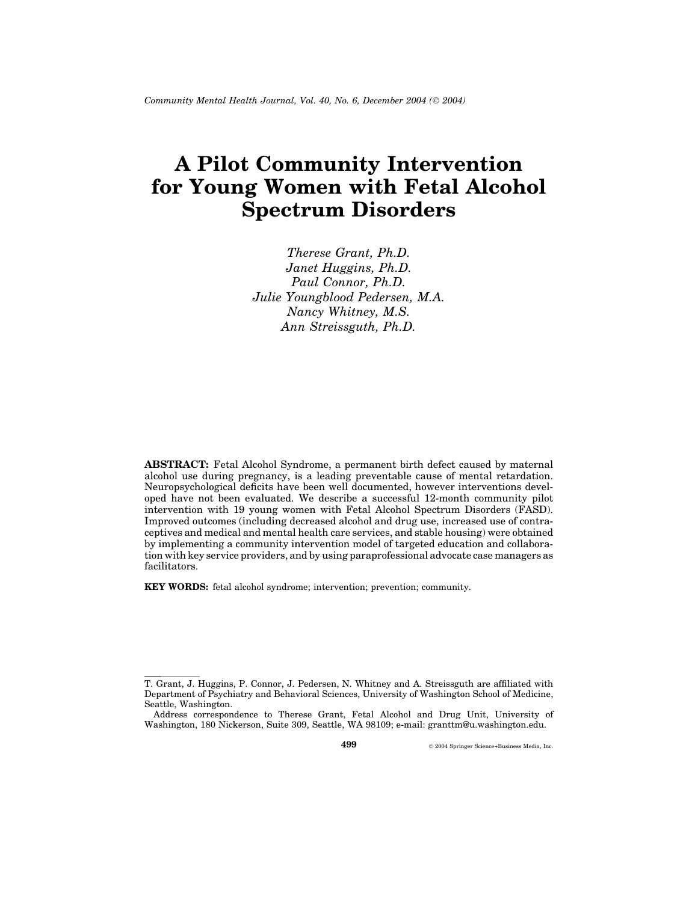# A Pilot Community Intervention for Young Women with Fetal Alcohol Spectrum Disorders

Therese Grant, Ph.D. Janet Huggins, Ph.D. Paul Connor, Ph.D. Julie Youngblood Pedersen, M.A. Nancy Whitney, M.S. Ann Streissguth, Ph.D.

ABSTRACT: Fetal Alcohol Syndrome, a permanent birth defect caused by maternal alcohol use during pregnancy, is a leading preventable cause of mental retardation. Neuropsychological deficits have been well documented, however interventions developed have not been evaluated. We describe a successful 12-month community pilot intervention with 19 young women with Fetal Alcohol Spectrum Disorders (FASD). Improved outcomes (including decreased alcohol and drug use, increased use of contraceptives and medical and mental health care services, and stable housing) were obtained by implementing a community intervention model of targeted education and collaboration with key service providers, and by using paraprofessional advocate case managers as facilitators.

KEY WORDS: fetal alcohol syndrome; intervention; prevention; community.

T. Grant, J. Huggins, P. Connor, J. Pedersen, N. Whitney and A. Streissguth are affiliated with Department of Psychiatry and Behavioral Sciences, University of Washington School of Medicine, Seattle, Washington.

Address correspondence to Therese Grant, Fetal Alcohol and Drug Unit, University of Washington, 180 Nickerson, Suite 309, Seattle, WA 98109; e-mail: granttm@u.washington.edu.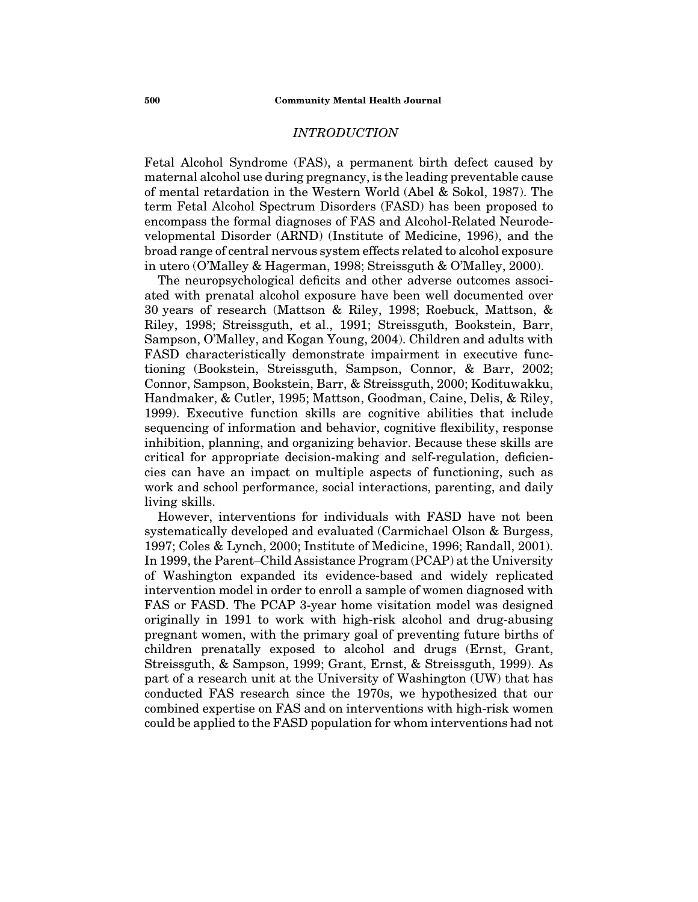# INTRODUCTION

Fetal Alcohol Syndrome (FAS), a permanent birth defect caused by maternal alcohol use during pregnancy, is the leading preventable cause of mental retardation in the Western World (Abel & Sokol, 1987). The term Fetal Alcohol Spectrum Disorders (FASD) has been proposed to encompass the formal diagnoses of FAS and Alcohol-Related Neurodevelopmental Disorder (ARND) (Institute of Medicine, 1996), and the broad range of central nervous system effects related to alcohol exposure in utero (O'Malley & Hagerman, 1998; Streissguth & O'Malley, 2000).

The neuropsychological deficits and other adverse outcomes associated with prenatal alcohol exposure have been well documented over 30 years of research (Mattson & Riley, 1998; Roebuck, Mattson, & Riley, 1998; Streissguth, et al., 1991; Streissguth, Bookstein, Barr, Sampson, O'Malley, and Kogan Young, 2004). Children and adults with FASD characteristically demonstrate impairment in executive functioning (Bookstein, Streissguth, Sampson, Connor, & Barr, 2002; Connor, Sampson, Bookstein, Barr, & Streissguth, 2000; Kodituwakku, Handmaker, & Cutler, 1995; Mattson, Goodman, Caine, Delis, & Riley, 1999). Executive function skills are cognitive abilities that include sequencing of information and behavior, cognitive flexibility, response inhibition, planning, and organizing behavior. Because these skills are critical for appropriate decision-making and self-regulation, deficiencies can have an impact on multiple aspects of functioning, such as work and school performance, social interactions, parenting, and daily living skills.

However, interventions for individuals with FASD have not been systematically developed and evaluated (Carmichael Olson & Burgess, 1997; Coles & Lynch, 2000; Institute of Medicine, 1996; Randall, 2001). In 1999, the Parent–Child Assistance Program (PCAP) at the University of Washington expanded its evidence-based and widely replicated intervention model in order to enroll a sample of women diagnosed with FAS or FASD. The PCAP 3-year home visitation model was designed originally in 1991 to work with high-risk alcohol and drug-abusing pregnant women, with the primary goal of preventing future births of children prenatally exposed to alcohol and drugs (Ernst, Grant, Streissguth, & Sampson, 1999; Grant, Ernst, & Streissguth, 1999). As part of a research unit at the University of Washington (UW) that has conducted FAS research since the 1970s, we hypothesized that our combined expertise on FAS and on interventions with high-risk women could be applied to the FASD population for whom interventions had not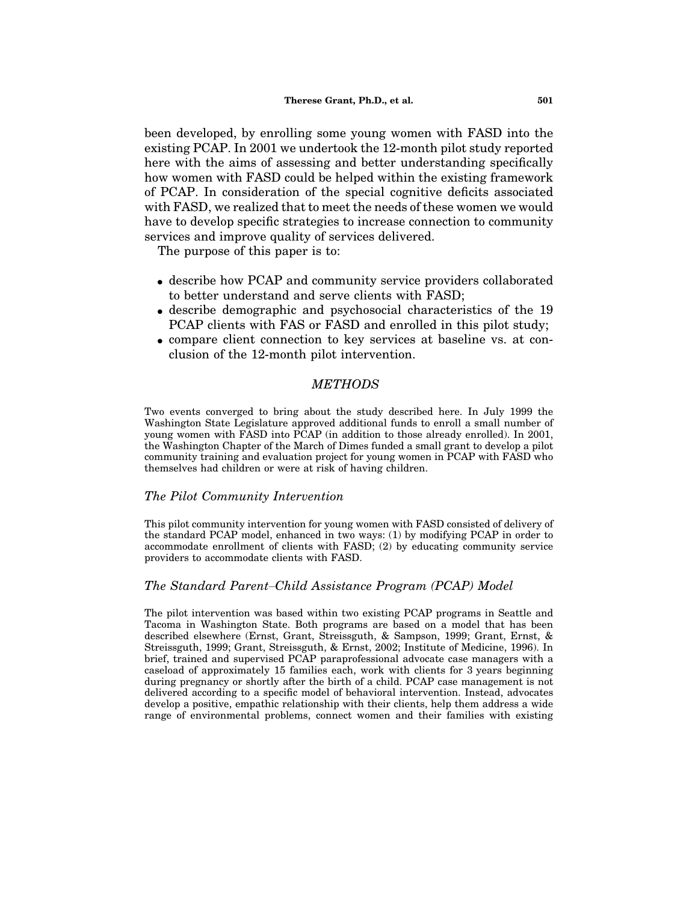been developed, by enrolling some young women with FASD into the existing PCAP. In 2001 we undertook the 12-month pilot study reported here with the aims of assessing and better understanding specifically how women with FASD could be helped within the existing framework of PCAP. In consideration of the special cognitive deficits associated with FASD, we realized that to meet the needs of these women we would have to develop specific strategies to increase connection to community services and improve quality of services delivered.

The purpose of this paper is to:

- <sup>d</sup> describe how PCAP and community service providers collaborated to better understand and serve clients with FASD;
- describe demographic and psychosocial characteristics of the 19 PCAP clients with FAS or FASD and enrolled in this pilot study;
- compare client connection to key services at baseline vs. at conclusion of the 12-month pilot intervention.

# **METHODS**

Two events converged to bring about the study described here. In July 1999 the Washington State Legislature approved additional funds to enroll a small number of young women with FASD into PCAP (in addition to those already enrolled). In 2001, the Washington Chapter of the March of Dimes funded a small grant to develop a pilot community training and evaluation project for young women in PCAP with FASD who themselves had children or were at risk of having children.

# The Pilot Community Intervention

This pilot community intervention for young women with FASD consisted of delivery of the standard PCAP model, enhanced in two ways: (1) by modifying PCAP in order to accommodate enrollment of clients with FASD; (2) by educating community service providers to accommodate clients with FASD.

# The Standard Parent–Child Assistance Program (PCAP) Model

The pilot intervention was based within two existing PCAP programs in Seattle and Tacoma in Washington State. Both programs are based on a model that has been described elsewhere (Ernst, Grant, Streissguth, & Sampson, 1999; Grant, Ernst, & Streissguth, 1999; Grant, Streissguth, & Ernst, 2002; Institute of Medicine, 1996). In brief, trained and supervised PCAP paraprofessional advocate case managers with a caseload of approximately 15 families each, work with clients for 3 years beginning during pregnancy or shortly after the birth of a child. PCAP case management is not delivered according to a specific model of behavioral intervention. Instead, advocates develop a positive, empathic relationship with their clients, help them address a wide range of environmental problems, connect women and their families with existing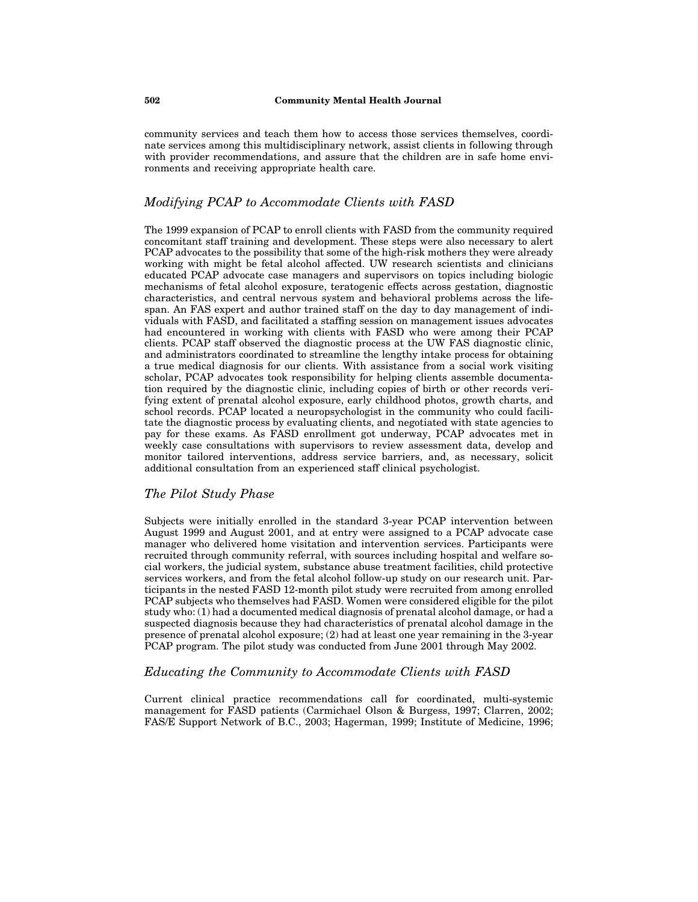community services and teach them how to access those services themselves, coordinate services among this multidisciplinary network, assist clients in following through with provider recommendations, and assure that the children are in safe home environments and receiving appropriate health care.

# Modifying PCAP to Accommodate Clients with FASD

The 1999 expansion of PCAP to enroll clients with FASD from the community required concomitant staff training and development. These steps were also necessary to alert PCAP advocates to the possibility that some of the high-risk mothers they were already working with might be fetal alcohol affected. UW research scientists and clinicians educated PCAP advocate case managers and supervisors on topics including biologic mechanisms of fetal alcohol exposure, teratogenic effects across gestation, diagnostic characteristics, and central nervous system and behavioral problems across the lifespan. An FAS expert and author trained staff on the day to day management of individuals with FASD, and facilitated a staffing session on management issues advocates had encountered in working with clients with FASD who were among their PCAP clients. PCAP staff observed the diagnostic process at the UW FAS diagnostic clinic, and administrators coordinated to streamline the lengthy intake process for obtaining a true medical diagnosis for our clients. With assistance from a social work visiting scholar, PCAP advocates took responsibility for helping clients assemble documentation required by the diagnostic clinic, including copies of birth or other records verifying extent of prenatal alcohol exposure, early childhood photos, growth charts, and school records. PCAP located a neuropsychologist in the community who could facilitate the diagnostic process by evaluating clients, and negotiated with state agencies to pay for these exams. As FASD enrollment got underway, PCAP advocates met in weekly case consultations with supervisors to review assessment data, develop and monitor tailored interventions, address service barriers, and, as necessary, solicit additional consultation from an experienced staff clinical psychologist.

# The Pilot Study Phase

Subjects were initially enrolled in the standard 3-year PCAP intervention between August 1999 and August 2001, and at entry were assigned to a PCAP advocate case manager who delivered home visitation and intervention services. Participants were recruited through community referral, with sources including hospital and welfare social workers, the judicial system, substance abuse treatment facilities, child protective services workers, and from the fetal alcohol follow-up study on our research unit. Participants in the nested FASD 12-month pilot study were recruited from among enrolled PCAP subjects who themselves had FASD. Women were considered eligible for the pilot study who: (1) had a documented medical diagnosis of prenatal alcohol damage, or had a suspected diagnosis because they had characteristics of prenatal alcohol damage in the presence of prenatal alcohol exposure; (2) had at least one year remaining in the 3-year PCAP program. The pilot study was conducted from June 2001 through May 2002.

#### Educating the Community to Accommodate Clients with FASD

Current clinical practice recommendations call for coordinated, multi-systemic management for FASD patients (Carmichael Olson & Burgess, 1997; Clarren, 2002; FAS/E Support Network of B.C., 2003; Hagerman, 1999; Institute of Medicine, 1996;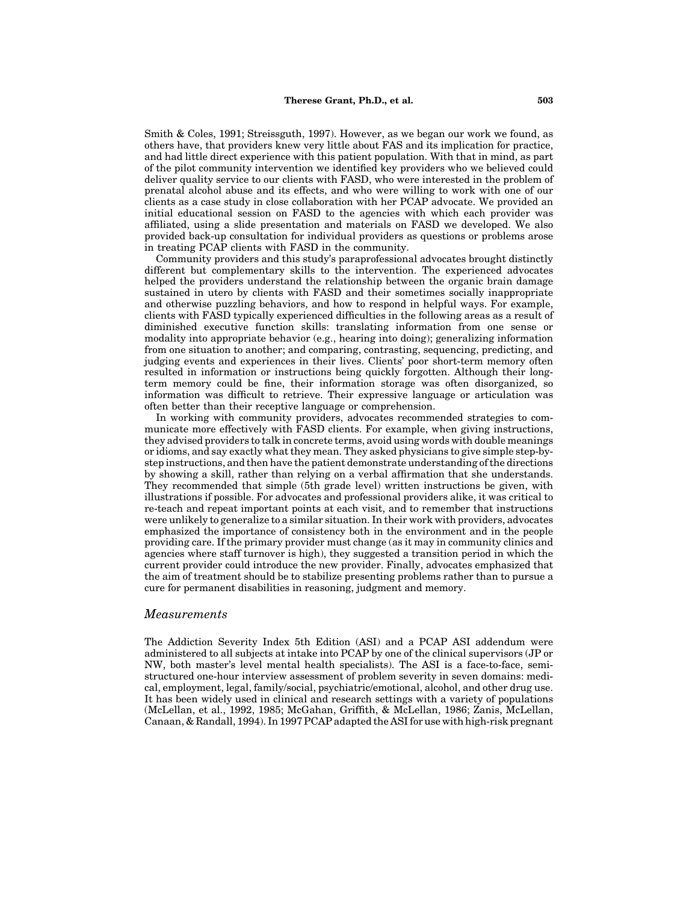Smith & Coles, 1991; Streissguth, 1997). However, as we began our work we found, as others have, that providers knew very little about FAS and its implication for practice, and had little direct experience with this patient population. With that in mind, as part of the pilot community intervention we identified key providers who we believed could deliver quality service to our clients with FASD, who were interested in the problem of prenatal alcohol abuse and its effects, and who were willing to work with one of our clients as a case study in close collaboration with her PCAP advocate. We provided an initial educational session on FASD to the agencies with which each provider was affiliated, using a slide presentation and materials on FASD we developed. We also provided back-up consultation for individual providers as questions or problems arose in treating PCAP clients with FASD in the community.

Community providers and this study's paraprofessional advocates brought distinctly different but complementary skills to the intervention. The experienced advocates helped the providers understand the relationship between the organic brain damage sustained in utero by clients with FASD and their sometimes socially inappropriate and otherwise puzzling behaviors, and how to respond in helpful ways. For example, clients with FASD typically experienced difficulties in the following areas as a result of diminished executive function skills: translating information from one sense or modality into appropriate behavior (e.g., hearing into doing); generalizing information from one situation to another; and comparing, contrasting, sequencing, predicting, and judging events and experiences in their lives. Clients' poor short-term memory often resulted in information or instructions being quickly forgotten. Although their longterm memory could be fine, their information storage was often disorganized, so information was difficult to retrieve. Their expressive language or articulation was often better than their receptive language or comprehension.

In working with community providers, advocates recommended strategies to communicate more effectively with FASD clients. For example, when giving instructions, they advised providers to talk in concrete terms, avoid using words with double meanings or idioms, and say exactly what they mean. They asked physicians to give simple step-bystep instructions, and then have the patient demonstrate understanding of the directions by showing a skill, rather than relying on a verbal affirmation that she understands. They recommended that simple (5th grade level) written instructions be given, with illustrations if possible. For advocates and professional providers alike, it was critical to re-teach and repeat important points at each visit, and to remember that instructions were unlikely to generalize to a similar situation. In their work with providers, advocates emphasized the importance of consistency both in the environment and in the people providing care. If the primary provider must change (as it may in community clinics and agencies where staff turnover is high), they suggested a transition period in which the current provider could introduce the new provider. Finally, advocates emphasized that the aim of treatment should be to stabilize presenting problems rather than to pursue a cure for permanent disabilities in reasoning, judgment and memory.

#### Measurements

The Addiction Severity Index 5th Edition (ASI) and a PCAP ASI addendum were administered to all subjects at intake into PCAP by one of the clinical supervisors (JP or NW, both master's level mental health specialists). The ASI is a face-to-face, semistructured one-hour interview assessment of problem severity in seven domains: medical, employment, legal, family/social, psychiatric/emotional, alcohol, and other drug use. It has been widely used in clinical and research settings with a variety of populations (McLellan, et al., 1992, 1985; McGahan, Griffith, & McLellan, 1986; Zanis, McLellan, Canaan, & Randall, 1994). In 1997 PCAP adapted the ASI for use with high-risk pregnant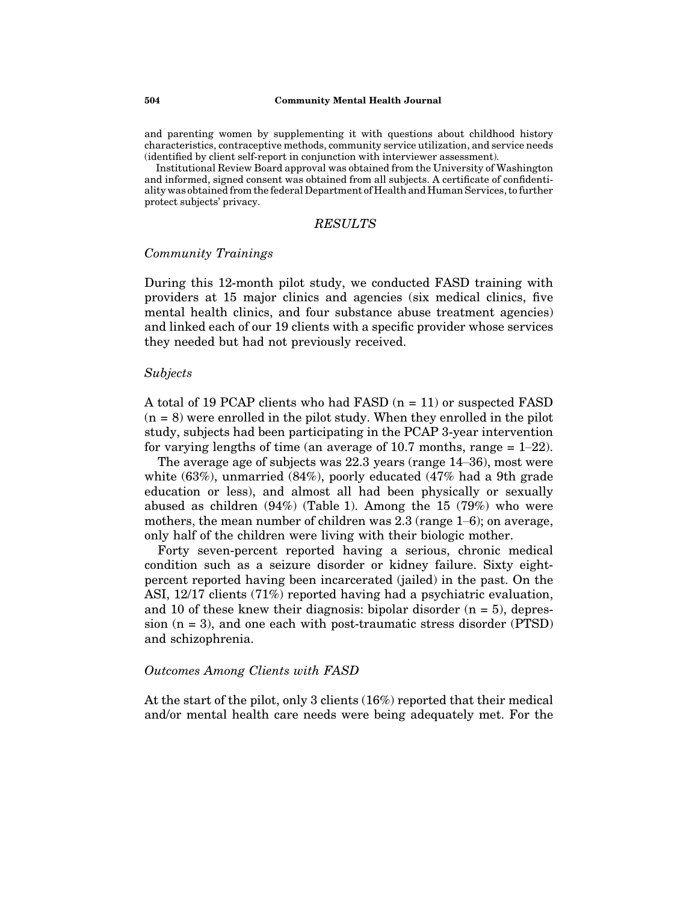and parenting women by supplementing it with questions about childhood history characteristics, contraceptive methods, community service utilization, and service needs (identified by client self-report in conjunction with interviewer assessment).

Institutional Review Board approval was obtained from the University of Washington and informed, signed consent was obtained from all subjects. A certificate of confidentiality was obtained from the federal Department of Health and Human Services, to further protect subjects' privacy.

#### RESULTS

#### Community Trainings

During this 12-month pilot study, we conducted FASD training with providers at 15 major clinics and agencies (six medical clinics, five mental health clinics, and four substance abuse treatment agencies) and linked each of our 19 clients with a specific provider whose services they needed but had not previously received.

#### Subjects

A total of 19 PCAP clients who had FASD  $(n = 11)$  or suspected FASD  $(n = 8)$  were enrolled in the pilot study. When they enrolled in the pilot study, subjects had been participating in the PCAP 3-year intervention for varying lengths of time (an average of 10.7 months, range  $= 1-22$ ).

The average age of subjects was 22.3 years (range 14–36), most were white (63%), unmarried (84%), poorly educated (47% had a 9th grade education or less), and almost all had been physically or sexually abused as children (94%) (Table 1). Among the 15 (79%) who were mothers, the mean number of children was  $2.3$  (range  $1-6$ ); on average, only half of the children were living with their biologic mother.

Forty seven-percent reported having a serious, chronic medical condition such as a seizure disorder or kidney failure. Sixty eightpercent reported having been incarcerated (jailed) in the past. On the ASI, 12/17 clients (71%) reported having had a psychiatric evaluation, and 10 of these knew their diagnosis: bipolar disorder  $(n = 5)$ , depression  $(n = 3)$ , and one each with post-traumatic stress disorder (PTSD) and schizophrenia.

# Outcomes Among Clients with FASD

At the start of the pilot, only 3 clients (16%) reported that their medical and/or mental health care needs were being adequately met. For the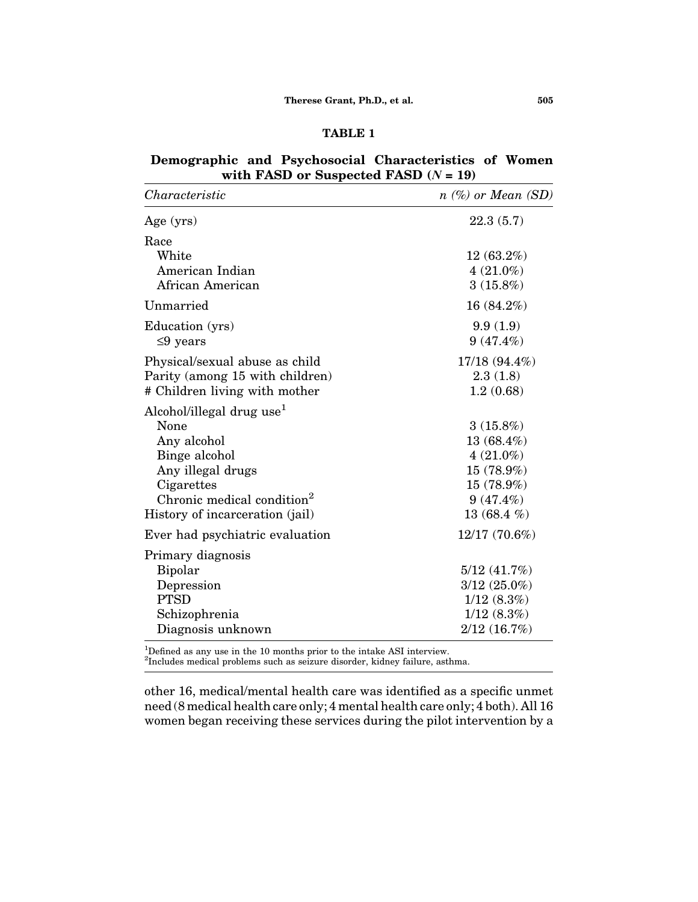# TABLE 1

# Demographic and Psychosocial Characteristics of Women with FASD or Suspected FASD  $(N = 19)$

| Characteristic                                                                                                                                                                                | $n \ (\%)$ or Mean (SD)                                                                            |
|-----------------------------------------------------------------------------------------------------------------------------------------------------------------------------------------------|----------------------------------------------------------------------------------------------------|
| Age $(yrs)$                                                                                                                                                                                   | 22.3(5.7)                                                                                          |
| Race<br>White<br>American Indian<br>African American                                                                                                                                          | $12(63.2\%)$<br>$4(21.0\%)$<br>$3(15.8\%)$                                                         |
| Unmarried                                                                                                                                                                                     | $16(84.2\%)$                                                                                       |
| Education (yrs)<br>$\leq$ 9 years                                                                                                                                                             | 9.9(1.9)<br>9(47.4%)                                                                               |
| Physical/sexual abuse as child<br>Parity (among 15 with children)<br># Children living with mother                                                                                            | $17/18(94.4\%)$<br>2.3(1.8)<br>1.2(0.68)                                                           |
| Alcohol/illegal drug use <sup>1</sup><br>None<br>Any alcohol<br>Binge alcohol<br>Any illegal drugs<br>Cigarettes<br>Chronic medical condition <sup>2</sup><br>History of incarceration (jail) | 3(15.8%)<br>$13(68.4\%)$<br>$4(21.0\%)$<br>15 (78.9%)<br>15 (78.9%)<br>9(47.4%)<br>13 (68.4 $%$ )  |
| Ever had psychiatric evaluation                                                                                                                                                               | 12/17 (70.6%)                                                                                      |
| Primary diagnosis<br>Bipolar<br>Depression<br><b>PTSD</b><br>Schizophrenia<br>Diagnosis unknown                                                                                               | $5/12$ $(41.7\%)$<br>$3/12$ $(25.0\%)$<br>$1/12$ $(8.3\%)$<br>$1/12$ $(8.3\%)$<br>$2/12$ $(16.7%)$ |

<sup>1</sup>Defined as any use in the 10 months prior to the intake ASI interview.

<sup>2</sup>Includes medical problems such as seizure disorder, kidney failure, asthma.

other 16, medical/mental health care was identified as a specific unmet need (8 medical health care only; 4 mental health care only; 4 both). All 16 women began receiving these services during the pilot intervention by a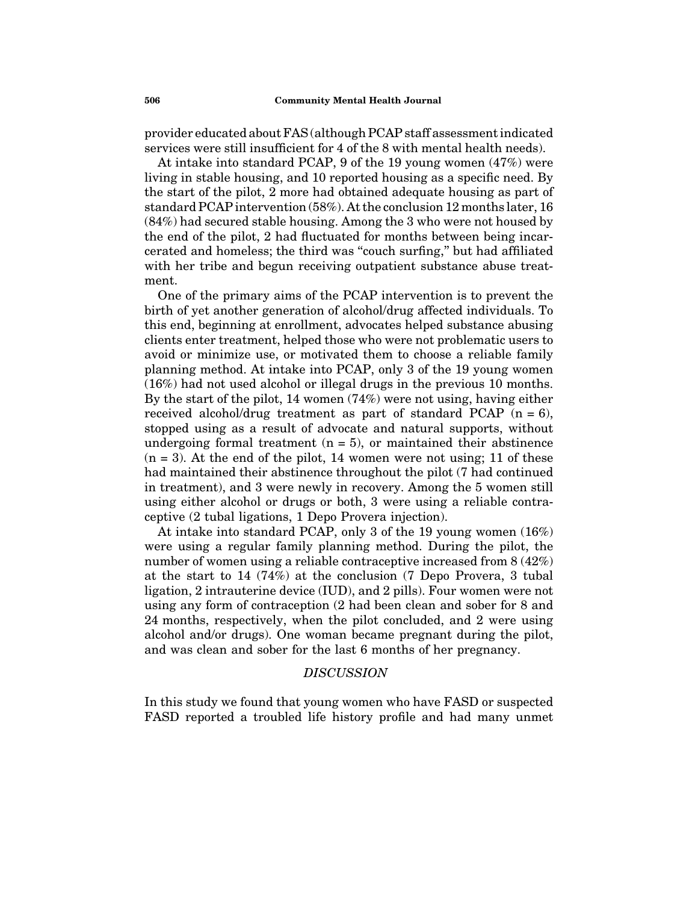provider educated about FAS (although PCAP staff assessment indicated services were still insufficient for 4 of the 8 with mental health needs).

At intake into standard PCAP, 9 of the 19 young women (47%) were living in stable housing, and 10 reported housing as a specific need. By the start of the pilot, 2 more had obtained adequate housing as part of standard PCAP intervention (58%). At the conclusion 12 months later, 16 (84%) had secured stable housing. Among the 3 who were not housed by the end of the pilot, 2 had fluctuated for months between being incarcerated and homeless; the third was ''couch surfing,'' but had affiliated with her tribe and begun receiving outpatient substance abuse treatment.

One of the primary aims of the PCAP intervention is to prevent the birth of yet another generation of alcohol/drug affected individuals. To this end, beginning at enrollment, advocates helped substance abusing clients enter treatment, helped those who were not problematic users to avoid or minimize use, or motivated them to choose a reliable family planning method. At intake into PCAP, only 3 of the 19 young women (16%) had not used alcohol or illegal drugs in the previous 10 months. By the start of the pilot, 14 women (74%) were not using, having either received alcohol/drug treatment as part of standard PCAP  $(n = 6)$ , stopped using as a result of advocate and natural supports, without undergoing formal treatment  $(n = 5)$ , or maintained their abstinence  $(n = 3)$ . At the end of the pilot, 14 women were not using; 11 of these had maintained their abstinence throughout the pilot (7 had continued in treatment), and 3 were newly in recovery. Among the 5 women still using either alcohol or drugs or both, 3 were using a reliable contraceptive (2 tubal ligations, 1 Depo Provera injection).

At intake into standard PCAP, only 3 of the 19 young women (16%) were using a regular family planning method. During the pilot, the number of women using a reliable contraceptive increased from 8 (42%) at the start to 14 (74%) at the conclusion (7 Depo Provera, 3 tubal ligation, 2 intrauterine device (IUD), and 2 pills). Four women were not using any form of contraception (2 had been clean and sober for 8 and 24 months, respectively, when the pilot concluded, and 2 were using alcohol and/or drugs). One woman became pregnant during the pilot, and was clean and sober for the last 6 months of her pregnancy.

# DISCUSSION

In this study we found that young women who have FASD or suspected FASD reported a troubled life history profile and had many unmet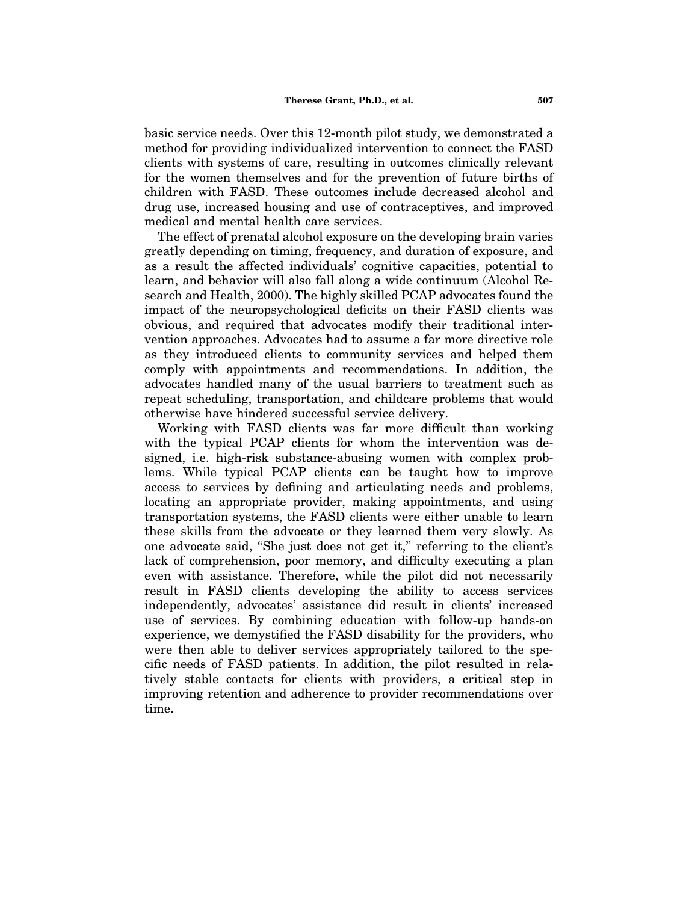basic service needs. Over this 12-month pilot study, we demonstrated a method for providing individualized intervention to connect the FASD clients with systems of care, resulting in outcomes clinically relevant for the women themselves and for the prevention of future births of children with FASD. These outcomes include decreased alcohol and drug use, increased housing and use of contraceptives, and improved medical and mental health care services.

The effect of prenatal alcohol exposure on the developing brain varies greatly depending on timing, frequency, and duration of exposure, and as a result the affected individuals' cognitive capacities, potential to learn, and behavior will also fall along a wide continuum (Alcohol Research and Health, 2000). The highly skilled PCAP advocates found the impact of the neuropsychological deficits on their FASD clients was obvious, and required that advocates modify their traditional intervention approaches. Advocates had to assume a far more directive role as they introduced clients to community services and helped them comply with appointments and recommendations. In addition, the advocates handled many of the usual barriers to treatment such as repeat scheduling, transportation, and childcare problems that would otherwise have hindered successful service delivery.

Working with FASD clients was far more difficult than working with the typical PCAP clients for whom the intervention was designed, i.e. high-risk substance-abusing women with complex problems. While typical PCAP clients can be taught how to improve access to services by defining and articulating needs and problems, locating an appropriate provider, making appointments, and using transportation systems, the FASD clients were either unable to learn these skills from the advocate or they learned them very slowly. As one advocate said, ''She just does not get it,'' referring to the client's lack of comprehension, poor memory, and difficulty executing a plan even with assistance. Therefore, while the pilot did not necessarily result in FASD clients developing the ability to access services independently, advocates' assistance did result in clients' increased use of services. By combining education with follow-up hands-on experience, we demystified the FASD disability for the providers, who were then able to deliver services appropriately tailored to the specific needs of FASD patients. In addition, the pilot resulted in relatively stable contacts for clients with providers, a critical step in improving retention and adherence to provider recommendations over time.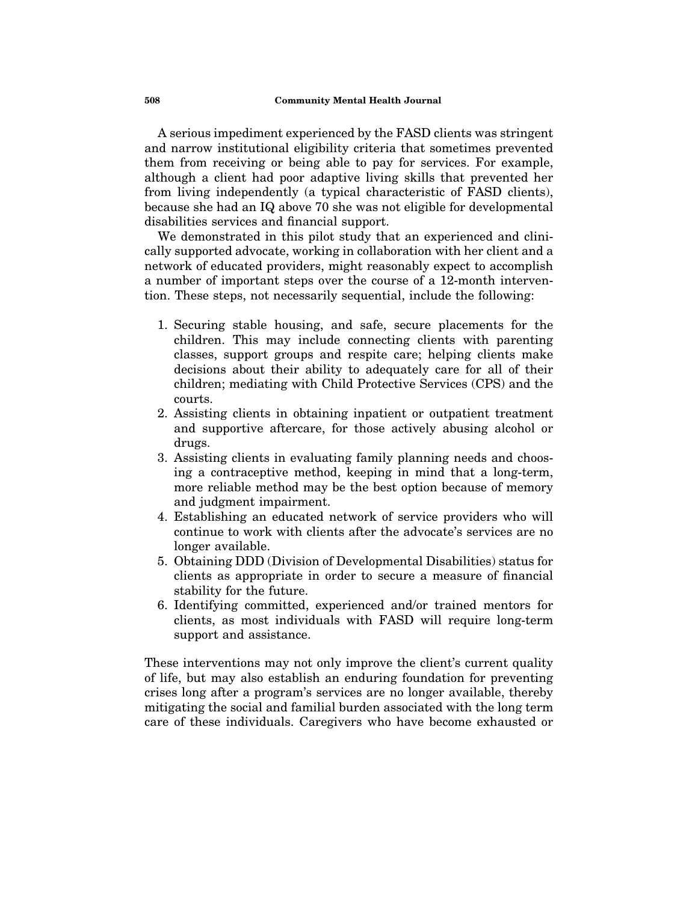A serious impediment experienced by the FASD clients was stringent and narrow institutional eligibility criteria that sometimes prevented them from receiving or being able to pay for services. For example, although a client had poor adaptive living skills that prevented her from living independently (a typical characteristic of FASD clients), because she had an IQ above 70 she was not eligible for developmental disabilities services and financial support.

We demonstrated in this pilot study that an experienced and clinically supported advocate, working in collaboration with her client and a network of educated providers, might reasonably expect to accomplish a number of important steps over the course of a 12-month intervention. These steps, not necessarily sequential, include the following:

- 1. Securing stable housing, and safe, secure placements for the children. This may include connecting clients with parenting classes, support groups and respite care; helping clients make decisions about their ability to adequately care for all of their children; mediating with Child Protective Services (CPS) and the courts.
- 2. Assisting clients in obtaining inpatient or outpatient treatment and supportive aftercare, for those actively abusing alcohol or drugs.
- 3. Assisting clients in evaluating family planning needs and choosing a contraceptive method, keeping in mind that a long-term, more reliable method may be the best option because of memory and judgment impairment.
- 4. Establishing an educated network of service providers who will continue to work with clients after the advocate's services are no longer available.
- 5. Obtaining DDD (Division of Developmental Disabilities) status for clients as appropriate in order to secure a measure of financial stability for the future.
- 6. Identifying committed, experienced and/or trained mentors for clients, as most individuals with FASD will require long-term support and assistance.

These interventions may not only improve the client's current quality of life, but may also establish an enduring foundation for preventing crises long after a program's services are no longer available, thereby mitigating the social and familial burden associated with the long term care of these individuals. Caregivers who have become exhausted or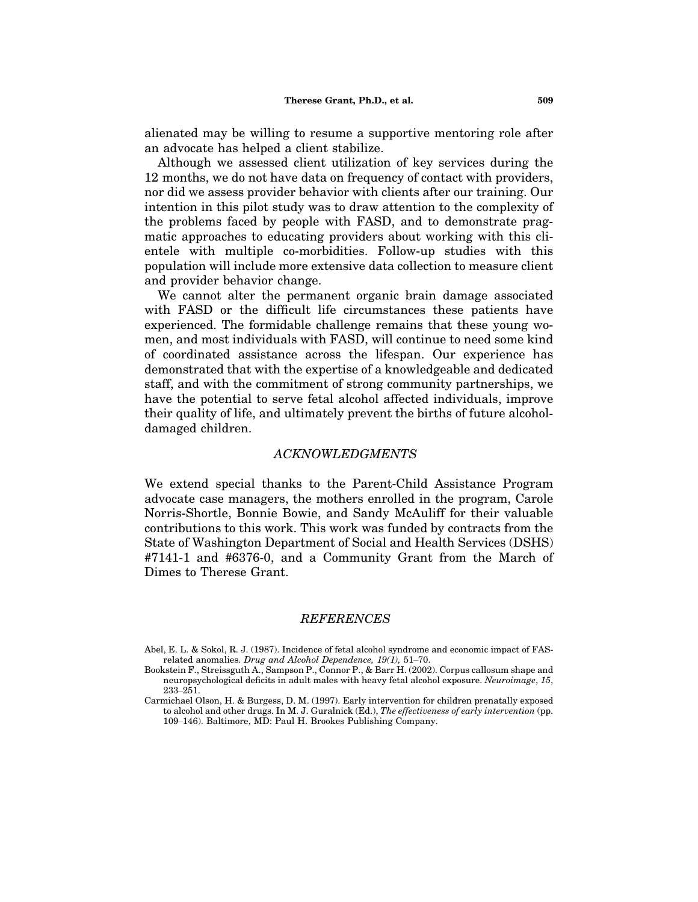alienated may be willing to resume a supportive mentoring role after an advocate has helped a client stabilize.

Although we assessed client utilization of key services during the 12 months, we do not have data on frequency of contact with providers, nor did we assess provider behavior with clients after our training. Our intention in this pilot study was to draw attention to the complexity of the problems faced by people with FASD, and to demonstrate pragmatic approaches to educating providers about working with this clientele with multiple co-morbidities. Follow-up studies with this population will include more extensive data collection to measure client and provider behavior change.

We cannot alter the permanent organic brain damage associated with FASD or the difficult life circumstances these patients have experienced. The formidable challenge remains that these young women, and most individuals with FASD, will continue to need some kind of coordinated assistance across the lifespan. Our experience has demonstrated that with the expertise of a knowledgeable and dedicated staff, and with the commitment of strong community partnerships, we have the potential to serve fetal alcohol affected individuals, improve their quality of life, and ultimately prevent the births of future alcoholdamaged children.

# ACKNOWLEDGMENTS

We extend special thanks to the Parent-Child Assistance Program advocate case managers, the mothers enrolled in the program, Carole Norris-Shortle, Bonnie Bowie, and Sandy McAuliff for their valuable contributions to this work. This work was funded by contracts from the State of Washington Department of Social and Health Services (DSHS) #7141-1 and #6376-0, and a Community Grant from the March of Dimes to Therese Grant.

# REFERENCES

- Abel, E. L. & Sokol, R. J. (1987). Incidence of fetal alcohol syndrome and economic impact of FASrelated anomalies. Drug and Alcohol Dependence, 19(1), 51–70.
- Bookstein F., Streissguth A., Sampson P., Connor P., & Barr H. (2002). Corpus callosum shape and neuropsychological deficits in adult males with heavy fetal alcohol exposure. Neuroimage, 15, 233–251.
- Carmichael Olson, H. & Burgess, D. M. (1997). Early intervention for children prenatally exposed to alcohol and other drugs. In M. J. Guralnick (Ed.), The effectiveness of early intervention (pp. 109–146). Baltimore, MD: Paul H. Brookes Publishing Company.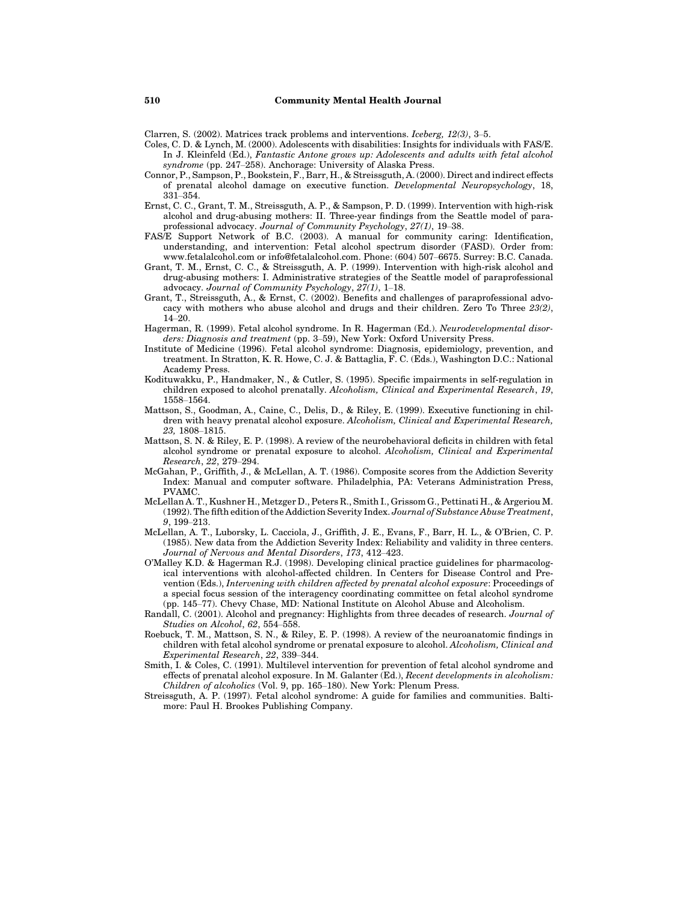Clarren, S. (2002). Matrices track problems and interventions. Iceberg, 12(3), 3–5.

- Coles, C. D. & Lynch, M. (2000). Adolescents with disabilities: Insights for individuals with FAS/E. In J. Kleinfeld (Ed.), Fantastic Antone grows up: Adolescents and adults with fetal alcohol syndrome (pp. 247–258). Anchorage: University of Alaska Press.
- Connor, P., Sampson, P., Bookstein, F., Barr, H., & Streissguth, A. (2000). Direct and indirect effects of prenatal alcohol damage on executive function. Developmental Neuropsychology, 18, 331–354.
- Ernst, C. C., Grant, T. M., Streissguth, A. P., & Sampson, P. D. (1999). Intervention with high-risk alcohol and drug-abusing mothers: II. Three-year findings from the Seattle model of paraprofessional advocacy. Journal of Community Psychology, 27(1), 19–38.
- FAS/E Support Network of B.C. (2003). A manual for community caring: Identification, understanding, and intervention: Fetal alcohol spectrum disorder (FASD). Order from: www.fetalalcohol.com or info@fetalalcohol.com. Phone: (604) 507–6675. Surrey: B.C. Canada.
- Grant, T. M., Ernst, C. C., & Streissguth, A. P. (1999). Intervention with high-risk alcohol and drug-abusing mothers: I. Administrative strategies of the Seattle model of paraprofessional advocacy. Journal of Community Psychology, 27(1), 1–18.
- Grant, T., Streissguth, A., & Ernst, C. (2002). Benefits and challenges of paraprofessional advocacy with mothers who abuse alcohol and drugs and their children. Zero To Three 23(2), 14–20.
- Hagerman, R. (1999). Fetal alcohol syndrome. In R. Hagerman (Ed.). Neurodevelopmental disorders: Diagnosis and treatment (pp. 3–59), New York: Oxford University Press.
- Institute of Medicine (1996). Fetal alcohol syndrome: Diagnosis, epidemiology, prevention, and treatment. In Stratton, K. R. Howe, C. J. & Battaglia, F. C. (Eds.), Washington D.C.: National Academy Press.
- Kodituwakku, P., Handmaker, N., & Cutler, S. (1995). Specific impairments in self-regulation in children exposed to alcohol prenatally. Alcoholism, Clinical and Experimental Research, 19, 1558–1564.
- Mattson, S., Goodman, A., Caine, C., Delis, D., & Riley, E. (1999). Executive functioning in children with heavy prenatal alcohol exposure. Alcoholism, Clinical and Experimental Research, 23, 1808–1815.
- Mattson, S. N. & Riley, E. P. (1998). A review of the neurobehavioral deficits in children with fetal alcohol syndrome or prenatal exposure to alcohol. Alcoholism, Clinical and Experimental Research, 22, 279–294.
- McGahan, P., Griffith, J., & McLellan, A. T. (1986). Composite scores from the Addiction Severity Index: Manual and computer software. Philadelphia, PA: Veterans Administration Press, PVAMC.
- McLellan A. T., Kushner H., Metzger D., Peters R., Smith I., Grissom G., Pettinati H., & Argeriou M. (1992). The fifth edition of the Addiction Severity Index. Journal of Substance Abuse Treatment, 9, 199–213.
- McLellan, A. T., Luborsky, L. Cacciola, J., Griffith, J. E., Evans, F., Barr, H. L., & O'Brien, C. P. (1985). New data from the Addiction Severity Index: Reliability and validity in three centers. Journal of Nervous and Mental Disorders, 173, 412–423.
- O'Malley K.D. & Hagerman R.J. (1998). Developing clinical practice guidelines for pharmacological interventions with alcohol-affected children. In Centers for Disease Control and Prevention (Eds.), Intervening with children affected by prenatal alcohol exposure: Proceedings of a special focus session of the interagency coordinating committee on fetal alcohol syndrome (pp. 145–77). Chevy Chase, MD: National Institute on Alcohol Abuse and Alcoholism.
- Randall, C. (2001). Alcohol and pregnancy: Highlights from three decades of research. Journal of Studies on Alcohol, 62, 554–558.
- Roebuck, T. M., Mattson, S. N., & Riley, E. P. (1998). A review of the neuroanatomic findings in children with fetal alcohol syndrome or prenatal exposure to alcohol. Alcoholism, Clinical and Experimental Research, 22, 339–344.
- Smith, I. & Coles, C. (1991). Multilevel intervention for prevention of fetal alcohol syndrome and effects of prenatal alcohol exposure. In M. Galanter (Ed.), Recent developments in alcoholism: Children of alcoholics (Vol. 9, pp. 165–180). New York: Plenum Press.
- Streissguth, A. P. (1997). Fetal alcohol syndrome: A guide for families and communities. Baltimore: Paul H. Brookes Publishing Company.